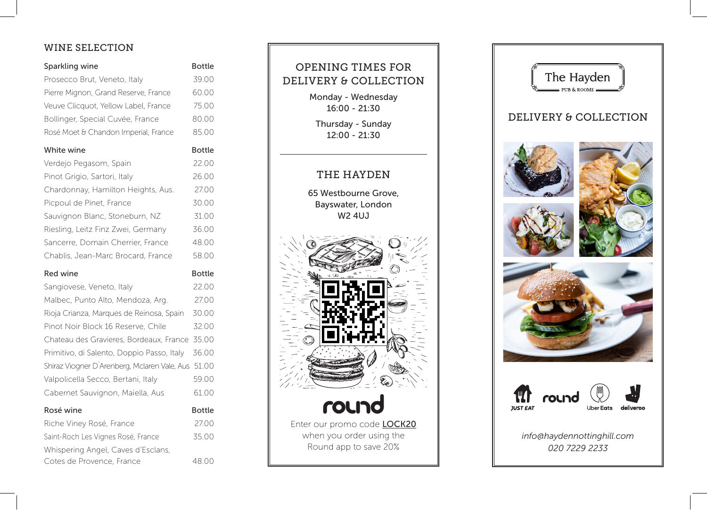# WINE SELECTION

| Sparkling wine                               | <b>Bottle</b> |
|----------------------------------------------|---------------|
| Prosecco Brut, Veneto, Italy                 | 39.00         |
| Pierre Mignon, Grand Reserve, France         | 60.00         |
| Veuve Clicquot, Yellow Label, France         | 75.00         |
| Bollinger, Special Cuvée, France             | 80.00         |
| Rosé Moet & Chandon Imperial, France         | 85.00         |
| White wine                                   | <b>Bottle</b> |
| Verdejo Pegasom, Spain                       | 22.00         |
| Pinot Grigio, Sartori, Italy                 | 26.00         |
| Chardonnay, Hamilton Heights, Aus.           | 27.00         |
| Picpoul de Pinet, France                     | 30.00         |
| Sauvignon Blanc, Stoneburn, NZ               | 31.00         |
| Riesling, Leitz Finz Zwei, Germany           | 36.00         |
| Sancerre, Domain Cherrier, France            | 48.00         |
| Chablis, Jean-Marc Brocard, France           | 58.00         |
|                                              |               |
| Red wine                                     | <b>Bottle</b> |
| Sangiovese, Veneto, Italy                    | 22.00         |
| Malbec, Punto Alto, Mendoza, Arg.            | 27.00         |
| Rioja Crianza, Marques de Reinosa, Spain     | 30.00         |
| Pinot Noir Block 16 Reserve, Chile           | 32.00         |
| Chateau des Gravieres, Bordeaux, France      | 35.00         |
| Primitivo, di Salento, Doppio Passo, Italy   | 36.00         |
| Shiraz Viogner D'Arenberg, Mclaren Vale, Aus | 51.00         |
| Valpolicella Secco, Bertani, Italy           | 59.00         |
| Cabernet Sauvignon, Maiella, Aus             | 61.00         |
| Rosé wine                                    | <b>Bottle</b> |
| Riche Viney Rosé, France                     | 27.00         |
| Saint-Roch Les Vignes Rosé, France           | 35.00         |
| Whispering Angel, Caves d'Esclans,           |               |

# OPENING TIMES FOR DELIVERY & COLLECTION Monday - Wednesday 16:00 - 21:30 Thursday - Sunday 12:00 - 21:30 THE HAYDEN 65 Westbourne Grove, Bayswater, London W2 4UJ round Enter our promo code **LOCK20** when you order using the Round app to save 20%